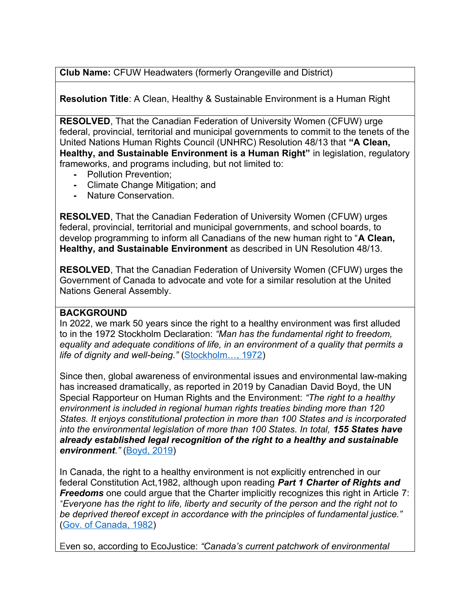**Club Name:** CFUW Headwaters (formerly Orangeville and District)

**Resolution Title**: A Clean, Healthy & Sustainable Environment is a Human Right

**RESOLVED**, That the Canadian Federation of University Women (CFUW) urge federal, provincial, territorial and municipal governments to commit to the tenets of the United Nations Human Rights Council (UNHRC) Resolution 48/13 that **"A Clean, Healthy, and Sustainable Environment is a Human Right"** in legislation, regulatory frameworks, and programs including, but not limited to:

- **-** Pollution Prevention;
- **-** Climate Change Mitigation; and
- **-** Nature Conservation.

**RESOLVED**, That the Canadian Federation of University Women (CFUW) urges federal, provincial, territorial and municipal governments, and school boards, to develop programming to inform all Canadians of the new human right to "**A Clean, Healthy, and Sustainable Environment** as described in UN Resolution 48/13.

**RESOLVED**, That the Canadian Federation of University Women (CFUW) urges the Government of Canada to advocate and vote for a similar resolution at the United Nations General Assembly.

## **BACKGROUND**

In 2022, we mark 50 years since the right to a healthy environment was first alluded to in the 1972 Stockholm Declaration: *"Man has the fundamental right to freedom, equality and adequate conditions of life, in an environment of a quality that permits a life of dignity and well-being."* ([Stockholm…, 1972](https://wedocs.unep.org/bitstream/handle/20.500.11822/29567/ELGP1StockD.pdf?sequence=1&isAllowed=y))

Since then, global awareness of environmental issues and environmental law-making has increased dramatically, as reported in 2019 by Canadian David Boyd, the UN Special Rapporteur on Human Rights and the Environment: *"The right to a healthy environment is included in regional human rights treaties binding more than 120 States. It enjoys constitutional protection in more than 100 States and is incorporated into the environmental legislation of more than 100 States. In total, 155 States have already established legal recognition of the right to a healthy and sustainable environment."* [\(Boyd, 2019\)](https://globalpactenvironment.org/uploads/Aguila-Vinuales-A-Global-Pact-for-the-Environment-Cambridge-Report-March-2019.pdf)

In Canada, the right to a healthy environment is not explicitly entrenched in our federal Constitution Act,1982, although upon reading *Part 1 Charter of Rights and Freedoms* one could argue that the Charter implicitly recognizes this right in Article 7: *"Everyone has the right to life, liberty and security of the person and the right not to be deprived thereof except in accordance with the principles of fundamental justice."* [\(Gov. of Canada, 1982](https://laws-lois.justice.gc.ca/eng/const/page-12.html))

Even so, according to EcoJustice: *"Canada's current patchwork of environmental*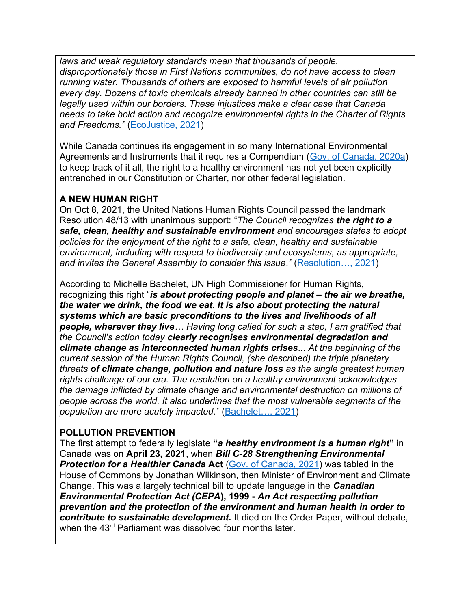*laws and weak regulatory standards mean that thousands of people, disproportionately those in First Nations communities, do not have access to clean running water. Thousands of others are exposed to harmful levels of air pollution every day. Dozens of toxic chemicals already banned in other countries can still be legally used within our borders. These injustices make a clear case that Canada needs to take bold action and recognize environmental rights in the Charter of Rights and Freedoms."* [\(EcoJustice, 2021](https://ecojustice.ca/case/right-to-a-healthy-environment/))

While Canada continues its engagement in so many International Environmental Agreements and Instruments that it requires a Compendium ([Gov. of Canada, 2020a](https://www.canada.ca/en/environment-climate-change/corporate/international-affairs/partnerships-organizations/participation-international-environmental-agreements.html)) to keep track of it all, the right to a healthy environment has not yet been explicitly entrenched in our Constitution or Charter, nor other federal legislation.

# **A NEW HUMAN RIGHT**

On Oct 8, 2021, the United Nations Human Rights Council passed the landmark Resolution 48/13 with unanimous support: "*The Council recognizes the right to a safe, clean, healthy and sustainable environment and encourages states to adopt policies for the enjoyment of the right to a safe, clean, healthy and sustainable environment, including with respect to biodiversity and ecosystems, as appropriate, and invites the General Assembly to consider this issue*.*"* [\(Resolution…, 2021](https://undocs.org/A/HRC/RES/48/13))

According to Michelle Bachelet, UN High Commissioner for Human Rights, recognizing this right "*is about protecting people and planet – the air we breathe, the water we drink, the food we eat. It is also about protecting the natural systems which are basic preconditions to the lives and livelihoods of all people, wherever they live… Having long called for such a step, I am gratified that the Council's action today clearly recognises environmental degradation and climate change as interconnected human rights crises... At the beginning of the current session of the Human Rights Council, (she described) the triple planetary threats of climate change, pollution and nature loss as the single greatest human rights challenge of our era. The resolution on a healthy environment acknowledges the damage inflicted by climate change and environmental destruction on millions of people across the world. It also underlines that the most vulnerable segments of the population are more acutely impacted."* [\(Bachelet…, 2021](https://www.ohchr.org/EN/NewsEvents/Pages/DisplayNews.aspx?NewsID=27635&LangID=E))

## **POLLUTION PREVENTION**

The first attempt to federally legislate **"***a healthy environment is a human right***"** in Canada was on **April 23, 2021**, when *Bill C-28 Strengthening Environmental*  **Protection for a Healthier Canada Act** [\(Gov. of Canada, 2021](https://www.parl.ca/LegisInfo/en/bill/43-2/C-28)) was tabled in the House of Commons by Jonathan Wilkinson, then Minister of Environment and Climate Change. This was a largely technical bill to update language in the *Canadian Environmental Protection Act (CEPA***), 1999 -** *An Act respecting pollution prevention and the protection of the environment and human health in order to contribute to sustainable development.* It died on the Order Paper, without debate, when the 43<sup>rd</sup> Parliament was dissolved four months later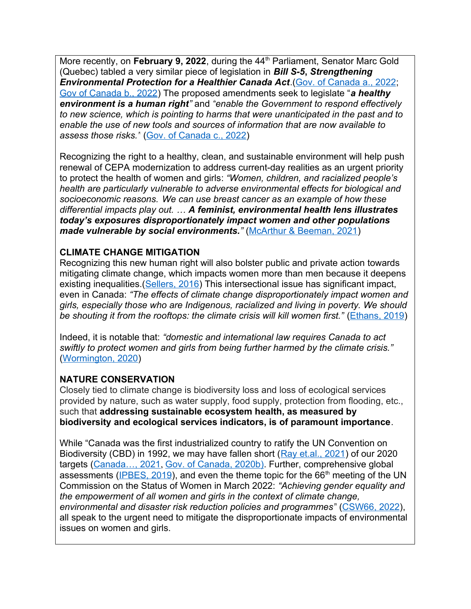More recently, on February 9, 2022, during the 44<sup>th</sup> Parliament, Senator Marc Gold (Quebec) tabled a very similar piece of legislation in *Bill S-5***,** *Strengthening Environmental Protection for a Healthier Canada Act*.[\(Gov. of Canada a., 2022](https://www.parl.ca/legisinfo/en/bill/44-1/s-5?view=progress); [Gov of Canada b., 2022](https://www.canada.ca/en/services/environment/pollution-waste-management/strengthening-canadian-environmental-protection-act-1999/bill-c-28-strengthening-environmental-protection-healthier-canada-act-summary-amendments.html#toc1)) The proposed amendments seek to legislate "*a healthy environment is a human right"* and *"enable the Government to respond effectively to new science, which is pointing to harms that were unanticipated in the past and to enable the use of new tools and sources of information that are now available to assess those risks."* [\(Gov. of Canada c., 2022](https://www.canada.ca/en/environment-climate-change/news/2022/02/government-of-canada-delivers-on-commitment-to-strengthen-the-canadian-environmental-protection-act-1999-and-recognizes-a-right-to-a-healthy-enviro.html))

Recognizing the right to a healthy, clean, and sustainable environment will help push renewal of CEPA modernization to address current-day realities as an urgent priority to protect the health of women and girls: *"Women, children, and racialized people's health are particularly vulnerable to adverse environmental effects for biological and socioeconomic reasons. We can use breast cancer as an example of how these differential impacts play out. … A feminist, environmental health lens illustrates today's exposures disproportionately impact women and other populations made vulnerable by social environments.*<sup>"</sup> ([McArthur & Beeman, 2021](https://cape.ca/stories/think-adverse-environmental-effects-affect-people-equally-ask-these-women/))

## **CLIMATE CHANGE MITIGATION**

Recognizing this new human right will also bolster public and private action towards mitigating climate change, which impacts women more than men because it deepens existing inequalities. ([Sellers, 2016](http://wedo.org/wp-content/uploads/2016/11/GGCA-RP-FINAL.pdf)) This intersectional issue has significant impact, even in Canada: *"The effects of climate change disproportionately impact women and girls, especially those who are Indigenous, racialized and living in poverty. We should be shouting it from the rooftops: the climate crisis will kill women first."* [\(Ethans, 2019\)](https://thetyee.ca/Opinion/2019/11/15/Climate-Crisis-Women/)

Indeed, it is notable that: *"domestic and international law requires Canada to act swiftly to protect women and girls from being further harmed by the climate crisis."* [\(Wormington, 2020\)](https://inter-alia.ca/2020/01/24/the-disproportionate-impact-of-the-climate-crisis-on-women-and-girls-in-canada/)

## **NATURE CONSERVATION**

Closely tied to climate change is biodiversity loss and loss of ecological services provided by nature, such as water supply, food supply, protection from flooding, etc., such that **addressing sustainable ecosystem health, as measured by biodiversity and ecological services indicators, is of paramount importance**.

While "Canada was the first industrialized country to ratify the UN Convention on Biodiversity (CBD) in 1992, we may have fallen short ([Ray et.al., 2021](https://www.facetsjournal.com/doi/pdf/10.1139/facets-2020-0075)) of our 2020 targets (Canada..., 2021, [Gov. of Canada, 2020b](https://www.canada.ca/en/environment-climate-change/corporate/international-affairs/partnerships-organizations/biological-diversity-convention.html)). Further, comprehensive global assessments ( $IPEES$ , 2019), and even the theme topic for the  $66<sup>th</sup>$  meeting of the UN Commission on the Status of Women in March 2022: *"Achieving gender equality and the empowerment of all women and girls in the context of climate change, environmental and disaster risk reduction policies and programmes"* [\(CSW66, 2022\)](https://www.unwomen.org/en/csw/csw66-2022), all speak to the urgent need to mitigate the disproportionate impacts of environmental issues on women and girls.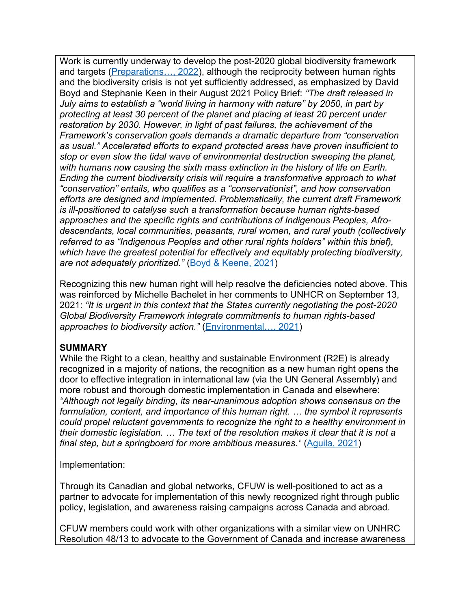Work is currently underway to develop the post-2020 global biodiversity framework and targets (*Preparations..., 2022*), although the reciprocity between human rights and the biodiversity crisis is not yet sufficiently addressed, as emphasized by David Boyd and Stephanie Keen in their August 2021 Policy Brief: *"The draft released in July aims to establish a "world living in harmony with nature" by 2050, in part by protecting at least 30 percent of the planet and placing at least 20 percent under restoration by 2030. However, in light of past failures, the achievement of the Framework's conservation goals demands a dramatic departure from "conservation as usual." Accelerated efforts to expand protected areas have proven insufficient to stop or even slow the tidal wave of environmental destruction sweeping the planet, with humans now causing the sixth mass extinction in the history of life on Earth. Ending the current biodiversity crisis will require a transformative approach to what "conservation" entails, who qualifies as a "conservationist", and how conservation efforts are designed and implemented. Problematically, the current draft Framework is ill-positioned to catalyse such a transformation because human rights-based approaches and the specific rights and contributions of Indigenous Peoples, Afrodescendants, local communities, peasants, rural women, and rural youth (collectively referred to as "Indigenous Peoples and other rural rights holders" within this brief), which have the greatest potential for effectively and equitably protecting biodiversity, are not adequately prioritized."* ([Boyd & Keene, 2021](https://www.ohchr.org/Documents/Issues/Environment/SREnvironment/policy-briefing-1.pdf))

Recognizing this new human right will help resolve the deficiencies noted above. This was reinforced by Michelle Bachelet in her comments to UNHCR on September 13, 2021: *"It is urgent in this context that the States currently negotiating the post-2020 Global Biodiversity Framework integrate commitments to human rights-based approaches to biodiversity action."* ([Environmental…, 2021](https://www.ohchr.org/EN/NewsEvents/Pages/DisplayNews.aspx?NewsID=27443))

### **SUMMARY**

While the Right to a clean, healthy and sustainable Environment (R2E) is already recognized in a majority of nations, the recognition as a new human right opens the door to effective integration in international law (via the UN General Assembly) and more robust and thorough domestic implementation in Canada and elsewhere: *"Although not legally binding, its near-unanimous adoption shows consensus on the formulation, content, and importance of this human right. … the symbol it represents could propel reluctant governments to recognize the right to a healthy environment in their domestic legislation. … The text of the resolution makes it clear that it is not a final step, but a springboard for more ambitious measures.*" (Aguila, 2021)

Implementation:

Through its Canadian and global networks, CFUW is well-positioned to act as a partner to advocate for implementation of this newly recognized right through public policy, legislation, and awareness raising campaigns across Canada and abroad.

CFUW members could work with other organizations with a similar view on UNHRC Resolution 48/13 to advocate to the Government of Canada and increase awareness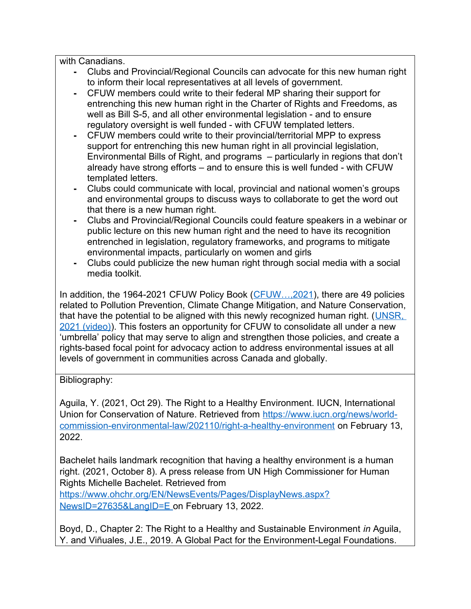with Canadians.

- **-** Clubs and Provincial/Regional Councils can advocate for this new human right to inform their local representatives at all levels of government.
- **-** CFUW members could write to their federal MP sharing their support for entrenching this new human right in the Charter of Rights and Freedoms, as well as Bill S-5, and all other environmental legislation - and to ensure regulatory oversight is well funded - with CFUW templated letters.
- **-** CFUW members could write to their provincial/territorial MPP to express support for entrenching this new human right in all provincial legislation, Environmental Bills of Right, and programs – particularly in regions that don't already have strong efforts – and to ensure this is well funded - with CFUW templated letters.
- **-** Clubs could communicate with local, provincial and national women's groups and environmental groups to discuss ways to collaborate to get the word out that there is a new human right.
- **-** Clubs and Provincial/Regional Councils could feature speakers in a webinar or public lecture on this new human right and the need to have its recognition entrenched in legislation, regulatory frameworks, and programs to mitigate environmental impacts, particularly on women and girls
- **-** Clubs could publicize the new human right through social media with a social media toolkit.

In addition, the 1964-2021 CFUW Policy Book (CFUW..., 2021), there are 49 policies related to Pollution Prevention, Climate Change Mitigation, and Nature Conservation, that have the potential to be aligned with this newly recognized human right. (UNSR, [2021 \(video\)](https://www.youtube.com/watch?v=ytDeHt6u374)). This fosters an opportunity for CFUW to consolidate all under a new 'umbrella' policy that may serve to align and strengthen those policies, and create a rights-based focal point for advocacy action to address environmental issues at all levels of government in communities across Canada and globally.

## Bibliography:

Aguila, Y. (2021, Oct 29). The Right to a Healthy Environment. IUCN, International Union for Conservation of Nature. Retrieved from [https://www.iucn.org/news/world](https://www.iucn.org/news/world-commission-environmental-law/202110/right-a-healthy-environment)[commission-environmental-law/202110/right-a-healthy-environment](https://www.iucn.org/news/world-commission-environmental-law/202110/right-a-healthy-environment) on February 13, 2022.

Bachelet hails landmark recognition that having a healthy environment is a human right. (2021, October 8). A press release from UN High Commissioner for Human Rights Michelle Bachelet. Retrieved from

[https://www.ohchr.org/EN/NewsEvents/Pages/DisplayNews.aspx?](https://www.ohchr.org/EN/NewsEvents/Pages/DisplayNews.aspx?NewsID=27635&LangID=E)  [NewsID=27635&LangID=E](https://www.ohchr.org/EN/NewsEvents/Pages/DisplayNews.aspx?NewsID=27635&LangID=E) on February 13, 2022.

Boyd, D., Chapter 2: The Right to a Healthy and Sustainable Environment *in* Aguila, Y. and Viñuales, J.E., 2019. A Global Pact for the Environment-Legal Foundations.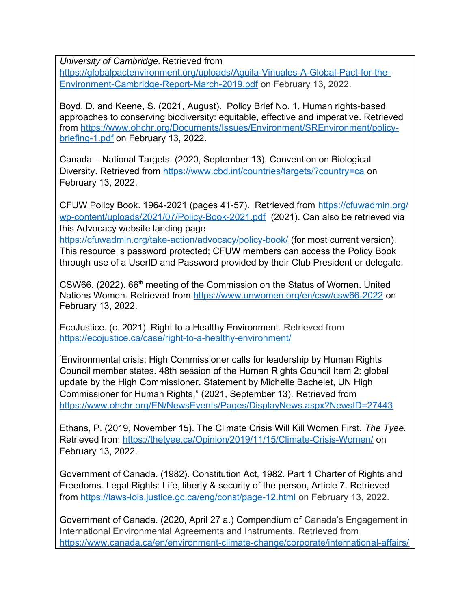*University of Cambridge.* Retrieved from

[https://globalpactenvironment.org/uploads/Aguila-Vinuales-A-Global-Pact-for-the-](https://globalpactenvironment.org/uploads/Aguila-Vinuales-A-Global-Pact-for-the-Environment-Cambridge-Report-March-2019.pdf)[Environment-Cambridge-Report-March-2019.pdf](https://globalpactenvironment.org/uploads/Aguila-Vinuales-A-Global-Pact-for-the-Environment-Cambridge-Report-March-2019.pdf) on February 13, 2022.

Boyd, D. and Keene, S. (2021, August). Policy Brief No. 1, Human rights-based approaches to conserving biodiversity: equitable, effective and imperative. Retrieved from [https://www.ohchr.org/Documents/Issues/Environment/SREnvironment/policy](https://www.ohchr.org/Documents/Issues/Environment/SREnvironment/policy-briefing-1.pdf)[briefing-1.pdf](https://www.ohchr.org/Documents/Issues/Environment/SREnvironment/policy-briefing-1.pdf) on February 13, 2022.

Canada – National Targets. (2020, September 13). Convention on Biological Diversity. Retrieved from<https://www.cbd.int/countries/targets/?country=ca> on February 13, 2022.

CFUW Policy Book. 1964-2021 (pages 41-57). Retrieved from [https://cfuwadmin.org/](https://cfuwadmin.org/wp-content/uploads/2021/07/Policy-Book-2021.pdf) [wp-content/uploads/2021/07/Policy-Book-2021.pdf](https://cfuwadmin.org/wp-content/uploads/2021/07/Policy-Book-2021.pdf) (2021). Can also be retrieved via this Advocacy website landing page

<https://cfuwadmin.org/take-action/advocacy/policy-book/> (for most current version). This resource is password protected; CFUW members can access the Policy Book through use of a UserID and Password provided by their Club President or delegate.

CSW66. (2022). 66<sup>th</sup> meeting of the Commission on the Status of Women. United Nations Women. Retrieved from<https://www.unwomen.org/en/csw/csw66-2022> on February 13, 2022.

EcoJustice. (c. 2021). Right to a Healthy Environment. Retrieved from <https://ecojustice.ca/case/right-to-a-healthy-environment/>

"Environmental crisis: High Commissioner calls for leadership by Human Rights Council member states. 48th session of the Human Rights Council Item 2: global update by the High Commissioner. Statement by Michelle Bachelet, UN High Commissioner for Human Rights." (2021, September 13). Retrieved from <https://www.ohchr.org/EN/NewsEvents/Pages/DisplayNews.aspx?NewsID=27443>

Ethans, P. (2019, November 15). The Climate Crisis Will Kill Women First. *The Tyee.* Retrieved from<https://thetyee.ca/Opinion/2019/11/15/Climate-Crisis-Women/>on February 13, 2022.

Government of Canada. (1982). Constitution Act, 1982. Part 1 Charter of Rights and Freedoms. Legal Rights: Life, liberty & security of the person, Article 7. Retrieved from <https://laws-lois.justice.gc.ca/eng/const/page-12.html> on February 13, 2022.

Government of Canada. (2020, April 27 a.) Compendium of Canada's Engagement in International Environmental Agreements and Instruments. Retrieved from [https://www.canada.ca/en/environment-climate-change/corporate/international-affairs/](https://www.canada.ca/en/environment-climate-change/corporate/international-affairs/partnerships-organizations/participation-international-environmental-agreements.html)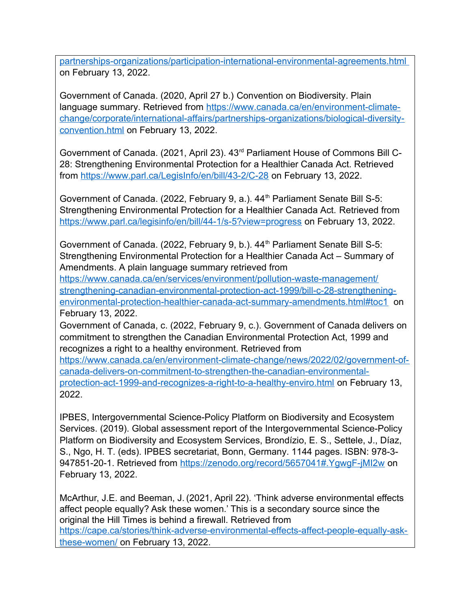[partnerships-organizations/participation-international-environmental-agreements.html](https://www.canada.ca/en/environment-climate-change/corporate/international-affairs/partnerships-organizations/participation-international-environmental-agreements.html) on February 13, 2022.

Government of Canada. (2020, April 27 b.) Convention on Biodiversity. Plain language summary. Retrieved from [https://www.canada.ca/en/environment-climate](https://www.canada.ca/en/environment-climate-change/corporate/international-affairs/partnerships-organizations/biological-diversity-convention.html)[change/corporate/international-affairs/partnerships-organizations/biological-diversity](https://www.canada.ca/en/environment-climate-change/corporate/international-affairs/partnerships-organizations/biological-diversity-convention.html)[convention.html](https://www.canada.ca/en/environment-climate-change/corporate/international-affairs/partnerships-organizations/biological-diversity-convention.html) on February 13, 2022.

Government of Canada. (2021, April 23). 43rd Parliament House of Commons Bill C-28: Strengthening Environmental Protection for a Healthier Canada Act. Retrieved from <https://www.parl.ca/LegisInfo/en/bill/43-2/C-28> on February 13, 2022.

Government of Canada. (2022, February 9, a.). 44<sup>th</sup> Parliament Senate Bill S-5: Strengthening Environmental Protection for a Healthier Canada Act. Retrieved from <https://www.parl.ca/legisinfo/en/bill/44-1/s-5?view=progress>on February 13, 2022.

Government of Canada. (2022, February 9, b.). 44<sup>th</sup> Parliament Senate Bill S-5: Strengthening Environmental Protection for a Healthier Canada Act – Summary of Amendments. A plain language summary retrieved from

[https://www.canada.ca/en/services/environment/pollution-waste-management/](https://www.canada.ca/en/services/environment/pollution-waste-management/strengthening-canadian-environmental-protection-act-1999/bill-c-28-strengthening-environmental-protection-healthier-canada-act-summary-amendments.html#toc1) [strengthening-canadian-environmental-protection-act-1999/bill-c-28-strengthening](https://www.canada.ca/en/services/environment/pollution-waste-management/strengthening-canadian-environmental-protection-act-1999/bill-c-28-strengthening-environmental-protection-healthier-canada-act-summary-amendments.html#toc1)[environmental-protection-healthier-canada-act-summary-amendments.html#toc1](https://www.canada.ca/en/services/environment/pollution-waste-management/strengthening-canadian-environmental-protection-act-1999/bill-c-28-strengthening-environmental-protection-healthier-canada-act-summary-amendments.html#toc1) on February 13, 2022.

Government of Canada, c. (2022, February 9, c.). Government of Canada delivers on commitment to strengthen the Canadian Environmental Protection Act, 1999 and recognizes a right to a healthy environment. Retrieved from

[https://www.canada.ca/en/environment-climate-change/news/2022/02/government-of](https://www.canada.ca/en/environment-climate-change/news/2022/02/government-of-canada-delivers-on-commitment-to-strengthen-the-canadian-environmental-protection-act-1999-and-recognizes-a-right-to-a-healthy-enviro.html)[canada-delivers-on-commitment-to-strengthen-the-canadian-environmental](https://www.canada.ca/en/environment-climate-change/news/2022/02/government-of-canada-delivers-on-commitment-to-strengthen-the-canadian-environmental-protection-act-1999-and-recognizes-a-right-to-a-healthy-enviro.html)[protection-act-1999-and-recognizes-a-right-to-a-healthy-enviro.html](https://www.canada.ca/en/environment-climate-change/news/2022/02/government-of-canada-delivers-on-commitment-to-strengthen-the-canadian-environmental-protection-act-1999-and-recognizes-a-right-to-a-healthy-enviro.html) on February 13, 2022.

IPBES, Intergovernmental Science-Policy Platform on Biodiversity and Ecosystem Services. (2019). Global assessment report of the Intergovernmental Science-Policy Platform on Biodiversity and Ecosystem Services, Brondízio, E. S., Settele, J., Díaz, S., Ngo, H. T. (eds). IPBES secretariat, Bonn, Germany. 1144 pages. ISBN: 978-3 947851-20-1. Retrieved from<https://zenodo.org/record/5657041#.YgwgF-jMI2w> on February 13, 2022.

McArthur, J.E. and Beeman, J. (2021, April 22). 'Think adverse environmental effects affect people equally? Ask these women.' This is a secondary source since the original the Hill Times is behind a firewall. Retrieved from [https://cape.ca/stories/think-adverse-environmental-effects-affect-people-equally-ask](https://cape.ca/stories/think-adverse-environmental-effects-affect-people-equally-ask-these-women/)[these-women/](https://cape.ca/stories/think-adverse-environmental-effects-affect-people-equally-ask-these-women/) on February 13, 2022.